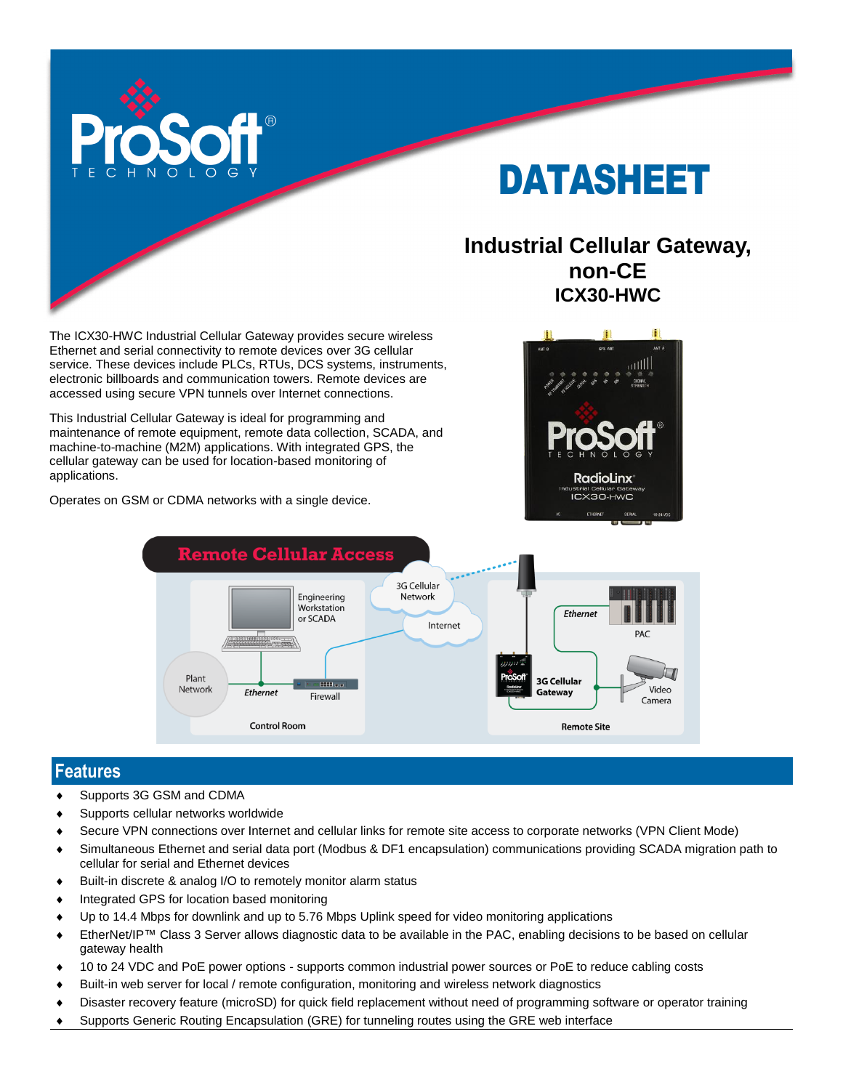

# DATASHEET

## **Industrial Cellular Gateway, non-CE ICX30-HWC**

The ICX30-HWC Industrial Cellular Gateway provides secure wireless Ethernet and serial connectivity to remote devices over 3G cellular service. These devices include PLCs, RTUs, DCS systems, instruments, electronic billboards and communication towers. Remote devices are accessed using secure VPN tunnels over Internet connections.

This Industrial Cellular Gateway is ideal for programming and maintenance of remote equipment, remote data collection, SCADA, and machine-to-machine (M2M) applications. With integrated GPS, the cellular gateway can be used for location-based monitoring of applications.

Operates on GSM or CDMA networks with a single device.





### **Features**

- ◆ Supports 3G GSM and CDMA
- Supports cellular networks worldwide
- Secure VPN connections over Internet and cellular links for remote site access to corporate networks (VPN Client Mode)
- Simultaneous Ethernet and serial data port (Modbus & DF1 encapsulation) communications providing SCADA migration path to cellular for serial and Ethernet devices
- Built-in discrete & analog I/O to remotely monitor alarm status
- $\bullet$  Integrated GPS for location based monitoring
- Up to 14.4 Mbps for downlink and up to 5.76 Mbps Uplink speed for video monitoring applications
- EtherNet/IP™ Class 3 Server allows diagnostic data to be available in the PAC, enabling decisions to be based on cellular gateway health
- 10 to 24 VDC and PoE power options supports common industrial power sources or PoE to reduce cabling costs
- Built-in web server for local / remote configuration, monitoring and wireless network diagnostics
- Disaster recovery feature (microSD) for quick field replacement without need of programming software or operator training
- Supports Generic Routing Encapsulation (GRE) for tunneling routes using the GRE web interface